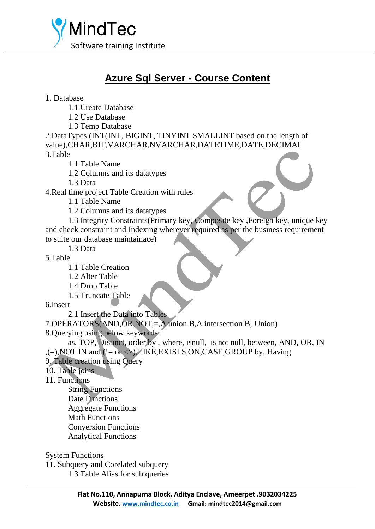

## **Azure Sql Server - Course Content**

1. Database

1.1 Create Database

1.2 Use Database

1.3 Temp Database

2.DataTypes (INT(INT, BIGINT, TINYINT SMALLINT based on the length of value),CHAR,BIT,VARCHAR,NVARCHAR,DATETIME,DATE,DECIMAL 3.Table

1.1 Table Name

1.2 Columns and its datatypes

1.3 Data

4.Real time project Table Creation with rules

1.1 Table Name

1.2 Columns and its datatypes

1.3 Integrity Constraints(Primary key, Composite key ,Foreign key, unique key and check constraint and Indexing wherever required as per the business requirement to suite our database maintainace)

1.3 Data

5.Table

- 1.1 Table Creation
- 1.2 Alter Table
- 1.4 Drop Table
- 1.5 Truncate Table

6.Insert

2.1 Insert the Data into Tables

7.OPERATORS(AND,OR,NOT,=,A union B,A intersection B, Union)

8.Querying using below keywords

as, TOP, Distinct, order by , where, isnull, is not null, between, AND, OR, IN ,(=), NOT IN and (!= or  $\Diamond$ ), LIKE, EXISTS, ON, CASE, GROUP by, Having

9. Table creation using Query

10. Table joins

11. Functions

String Functions

Date Functions

Aggregate Functions

Math Functions

Conversion Functions

Analytical Functions

System Functions

11. Subquery and Corelated subquery

1.3 Table Alias for sub queries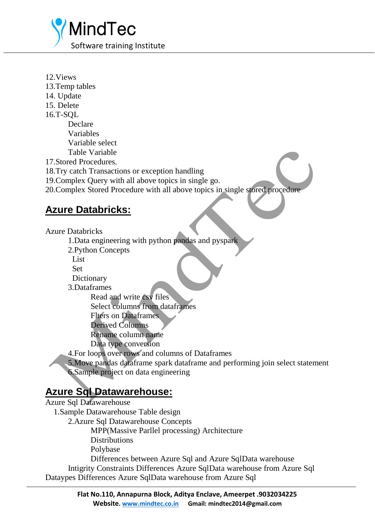

12.Views 13.Temp tables 14. Update 15. Delete 16.T-SQL Declare Variables Variable select Table Variable 17.Stored Procedures. 18.Try catch Transactions or exception handling 19.Complex Query with all above topics in single go.

20.Complex Stored Procedure with all above topics in single stored procedure

## **Azure Databricks:**

Azure Databricks

1.Data engineering with python pandas and pyspark

2.Python Concepts

List<sub>1</sub>

Set

**Dictionary** 

3.Dataframes

Read and write csv files Select columns from dataframes

Flters on Dataframes

Derived Columns

Rename column name

Data type conversion

4.For loops over rows and columns of Dataframes

5.Move pandas dataframe spark dataframe and performing join select statement 6.Sample project on data engineering

## **Azure Sql Datawarehouse:**

| <b>Azure Sql Datawarehouse</b>                                           |
|--------------------------------------------------------------------------|
| 1. Sample Datawarehouse Table design                                     |
| 2. Azure Sql Datawarehouse Concepts                                      |
| MPP(Massive Parllel processing) Architecture                             |
| <b>Distributions</b>                                                     |
| Polybase                                                                 |
| Differences between Azure Sql and Azure SqlData warehouse                |
| Intigrity Constraints Differences Azure SqlData warehouse from Azure Sql |
| Dataypes Differences Azure SqlData warehouse from Azure Sql              |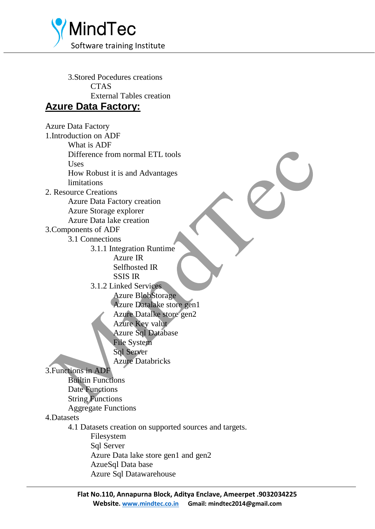

3.Stored Pocedures creations **CTAS** External Tables creation **Azure Data Factory:**

Azure Data Factory 1.Introduction on ADF What is ADF Difference from normal ETL tools Uses How Robust it is and Advantages limitations 2. Resource Creations Azure Data Factory creation Azure Storage explorer Azure Data lake creation 3.Components of ADF 3.1 Connections 3.1.1 Integration Runtime Azure IR Selfhosted IR SSIS IR 3.1.2 Linked Services Azure BlobStorage Azure Datalake store gen1 Azure Datalke store gen2 Azure Key valut Azure Sql Database File System Sql Server Azure Databricks 3.Functions in ADF Builtin Functions Date Functions String Functions Aggregate Functions 4.Datasets 4.1 Datasets creation on supported sources and targets. Filesystem Sql Server Azure Data lake store gen1 and gen2 AzueSql Data base Azure Sql Datawarehouse